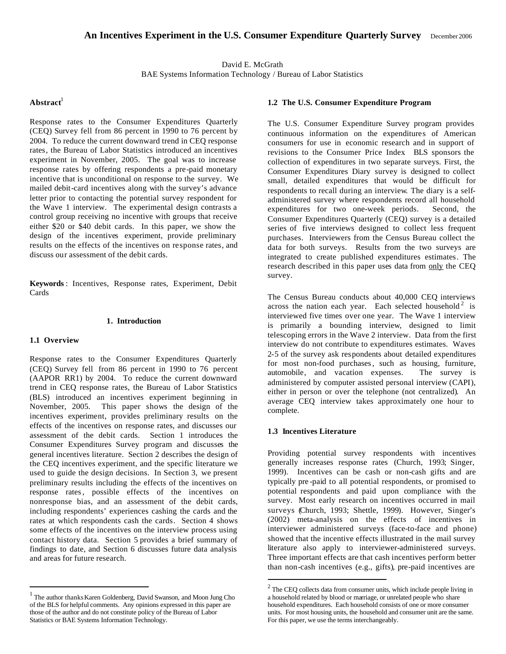David E. McGrath BAE Systems Information Technology / Bureau of Labor Statistics

# $A<sub>b</sub>$ **A** histract<sup>1</sup>

Response rates to the Consumer Expenditures Quarterly (CEQ) Survey fell from 86 percent in 1990 to 76 percent by 2004. To reduce the current downward trend in CEQ response rates, the Bureau of Labor Statistics introduced an incentives experiment in November, 2005. The goal was to increase response rates by offering respondents a pre-paid monetary incentive that is unconditional on response to the survey. We mailed debit-card incentives along with the survey's advance letter prior to contacting the potential survey respondent for the Wave 1 interview. The experimental design contrasts a control group receiving no incentive with groups that receive either \$20 or \$40 debit cards. In this paper, we show the design of the incentives experiment, provide preliminary results on the effects of the incentives on response rates, and discuss our assessment of the debit cards.

**Keywords** : Incentives, Response rates, Experiment, Debit Cards

# **1. Introduction**

# **1.1 Overview**

 $\overline{a}$ 

Response rates to the Consumer Expenditures Quarterly (CEQ) Survey fell from 86 percent in 1990 to 76 percent (AAPOR RR1) by 2004. To reduce the current downward trend in CEQ response rates, the Bureau of Labor Statistics (BLS) introduced an incentives experiment beginning in November, 2005. This paper shows the design of the incentives experiment, provides preliminary results on the effects of the incentives on response rates, and discusses our assessment of the debit cards. Section 1 introduces the Consumer Expenditures Survey program and discusses the general incentives literature. Section 2 describes the design of the CEQ incentives experiment, and the specific literature we used to guide the design decisions. In Section 3, we present preliminary results including the effects of the incentives on response rates, possible effects of the incentives on nonresponse bias, and an assessment of the debit cards, including respondents' experiences cashing the cards and the rates at which respondents cash the cards. Section 4 shows some effects of the incentives on the interview process using contact history data. Section 5 provides a brief summary of findings to date, and Section 6 discusses future data analysis and areas for future research.

## **1.2 The U.S. Consumer Expenditure Program**

The U.S. Consumer Expenditure Survey program provides continuous information on the expenditures of American consumers for use in economic research and in support of revisions to the Consumer Price Index. BLS sponsors the collection of expenditures in two separate surveys. First, the Consumer Expenditures Diary survey is designed to collect small, detailed expenditures that would be difficult for respondents to recall during an interview. The diary is a selfadministered survey where respondents record all household expenditures for two one-week periods. Second, the Consumer Expenditures Quarterly (CEQ) survey is a detailed series of five interviews designed to collect less frequent purchases. Interviewers from the Census Bureau collect the data for both surveys. Results from the two surveys are integrated to create published expenditures estimates. The research described in this paper uses data from only the CEQ survey.

The Census Bureau conducts about 40,000 CEQ interviews across the nation each year. Each selected household<sup>2</sup> is interviewed five times over one year. The Wave 1 interview is primarily a bounding interview, designed to limit telescoping errors in the Wave 2 interview. Data from the first interview do not contribute to expenditures estimates. Waves 2-5 of the survey ask respondents about detailed expenditures for most non-food purchases, such as housing, furniture, automobile, and vacation expenses. The survey is administered by computer assisted personal interview (CAPI), either in person or over the telephone (not centralized). An average CEQ interview takes approximately one hour to complete.

# **1.3 Incentives Literature**

 $\overline{a}$ 

Providing potential survey respondents with incentives generally increases response rates (Church, 1993; Singer, 1999). Incentives can be cash or non-cash gifts and are typically pre -paid to all potential respondents, or promised to potential respondents and paid upon compliance with the survey. Most early research on incentives occurred in mail surveys (Church, 1993; Shettle, 1999). However, Singer's (2002) meta-analysis on the effects of incentives in interviewer administered surveys (face-to-face and phone) showed that the incentive effects illustrated in the mail survey literature also apply to interviewer-administered surveys. Three important effects are that cash incentives perform better than non-cash incentives (e.g., gifts), pre-paid incentives are

<sup>&</sup>lt;sup>1</sup> The author thanks Karen Goldenberg, David Swanson, and Moon Jung Cho of the BLS for helpful comments. Any opinions expressed in this paper are those of the author and do not constitute policy of the Bureau of Labor Statistics or BAE Systems Information Technology.

 $2^2$  The CEQ collects data from consumer units, which include people living in a household related by blood or marriage, or unrelated people who share household expenditures. Each household consists of one or more consumer units. For most housing units, the household and consumer unit are the same. For this paper, we use the terms interchangeably.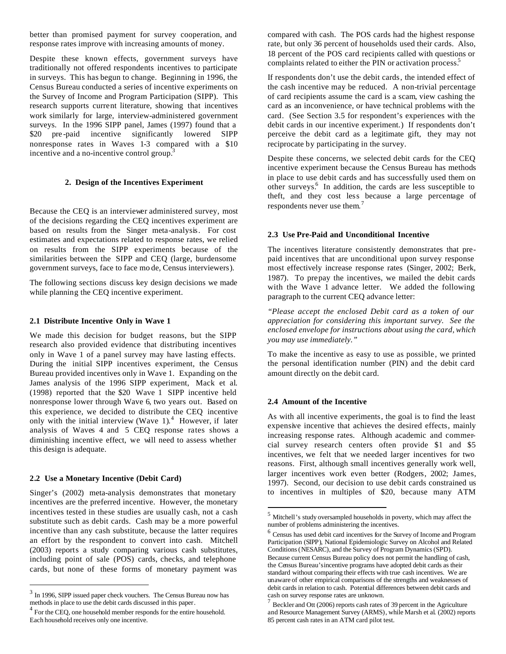better than promised payment for survey cooperation, and response rates improve with increasing amounts of money.

Despite these known effects, government surveys have traditionally not offered respondents incentives to participate in surveys. This has begun to change. Beginning in 1996, the Census Bureau conducted a series of incentive experiments on the Survey of Income and Program Participation (SIPP). This research supports current literature, showing that incentives work similarly for large, interview-administered government surveys. In the 1996 SIPP panel, James (1997) found that a \$20 pre -paid incentive significantly lowered SIPP nonresponse rates in Waves 1-3 compared with a \$10 incentive and a no-incentive control group.<sup>3</sup>

### **2. Design of the Incentives Experiment**

Because the CEQ is an interviewer administered survey, most of the decisions regarding the CEQ incentives experiment are based on results from the Singer meta-analysis. For cost estimates and expectations related to response rates, we relied on results from the SIPP experiments because of the similarities between the SIPP and CEQ (large, burdensome government surveys, face to face mo de, Census interviewers).

The following sections discuss key design decisions we made while planning the CEQ incentive experiment.

#### **2.1 Distribute Incentive Only in Wave 1**

We made this decision for budget reasons, but the SIPP research also provided evidence that distributing incentives only in Wave 1 of a panel survey may have lasting effects. During the initial SIPP incentives experiment, the Census Bureau provided incentives only in Wave 1. Expanding on the James analysis of the 1996 SIPP experiment, Mack et al. (1998) reported that the \$20 Wave 1 SIPP incentive held nonresponse lower through Wave 6, two years out. Based on this experience, we decided to distribute the CEQ incentive only with the initial interview (Wave 1).<sup>4</sup> However, if later analysis of Waves 4 and 5 CEQ response rates shows a diminishing incentive effect, we will need to assess whether this design is adequate.

### **2.2 Use a Monetary Incentive (Debit Card)**

 $\overline{a}$ 

Singer's (2002) meta-analysis demonstrates that monetary incentives are the preferred incentive. However, the monetary incentives tested in these studies are usually cash, not a cash substitute such as debit cards. Cash may be a more powerful incentive than any cash substitute, because the latter requires an effort by the respondent to convert into cash. Mitchell (2003) reports a study comparing various cash substitutes, including point of sale (POS) cards, checks, and telephone cards, but none of these forms of monetary payment was

compared with cash. The POS cards had the highest response rate, but only 36 percent of households used their cards. Also, 18 percent of the POS card recipients called with questions or complaints related to either the PIN or activation process.<sup>5</sup>

If respondents don't use the debit cards, the intended effect of the cash incentive may be reduced. A non-trivial percentage of card recipients assume the card is a scam, view cashing the card as an inconvenience, or have technical problems with the card. (See Section 3.5 for respondent's experiences with the debit cards in our incentive experiment.) If respondents don't perceive the debit card as a legitimate gift, they may not reciprocate by participating in the survey.

Despite these concerns, we selected debit cards for the CEQ incentive experiment because the Census Bureau has methods in place to use debit cards and has successfully used them on other surveys.<sup>6</sup> In addition, the cards are less susceptible to theft, and they cost less because a large percentage of respondents never use them.<sup>7</sup>

### **2.3 Use Pre-Paid and Unconditional Incentive**

The incentives literature consistently demonstrates that prepaid incentives that are unconditional upon survey response most effectively increase response rates (Singer, 2002; Berk, 1987). To prepay the incentives, we mailed the debit cards with the Wave 1 advance letter. We added the following paragraph to the current CEQ advance letter:

*"Please accept the enclosed Debit card as a token of our appreciation for considering this important survey. See the enclosed envelope for instructions about using the card, which you may use immediately."*

To make the incentive as easy to use as possible, we printed the personal identification number (PIN) and the debit card amount directly on the debit card.

#### **2.4 Amount of the Incentive**

 $\overline{a}$ 

As with all incentive experiments, the goal is to find the least expensive incentive that achieves the desired effects, mainly increasing response rates. Although academic and commercial survey research centers often provide \$1 and \$5 incentives, we felt that we needed larger incentives for two reasons. First, although small incentives generally work well, larger incentives work even better (Rodgers, 2002; James, 1997). Second, our decision to use debit cards constrained us to incentives in multiples of \$20, because many ATM

 $3$  In 1996, SIPP issued paper check vouchers. The Census Bureau now has methods in place to use the debit cards discussed in this paper.

<sup>&</sup>lt;sup>4</sup> For the CEQ, one household member responds for the entire household. Each household receives only one incentive.

<sup>5</sup> Mitchell's study oversampled households in poverty, which may affect the number of problems administering the incentives.

<sup>6</sup> Census has used debit card incentives for the Survey of Income and Program Participation (SIPP), National Epidemiologic Survey on Alcohol and Related Conditions (NESARC), and the Survey of Program Dynamics (SPD).

Because current Census Bureau policy does not permit the handling of cash, the Census Bureau's incentive programs have adopted debit cards as their standard without comparing their effects with true cash incentives. We are unaware of other empirical comparisons of the strengths and weaknesses of debit cards in relation to cash. Potential differences between debit cards and cash on survey response rates are unknown.<br>
<sup>7</sup> Basklaused Ott (2006) reports seek rates.

Beckler and Ott (2006) reports cash rates of 39 percent in the Agriculture and Resource Management Survey (ARMS), while Marsh et al. (2002) reports 85 percent cash rates in an ATM card pilot test.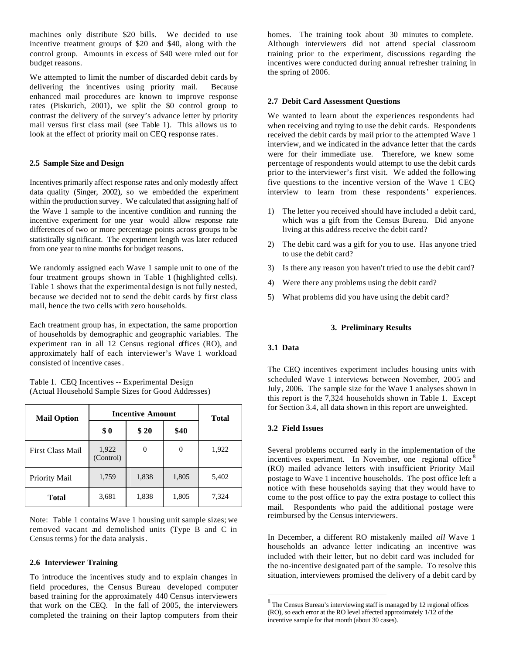machines only distribute \$20 bills. We decided to use incentive treatment groups of \$20 and \$40, along with the control group. Amounts in excess of \$40 were ruled out for budget reasons.

We attempted to limit the number of discarded debit cards by delivering the incentives using priority mail. Because enhanced mail procedures are known to improve response rates (Piskurich, 2001), we split the \$0 control group to contrast the delivery of the survey's advance letter by priority mail versus first class mail (see Table 1). This allows us to look at the effect of priority mail on CEQ response rates.

## **2.5 Sample Size and Design**

Incentives primarily affect response rates and only modestly affect data quality (Singer, 2002), so we embedded the experiment within the production survey. We calculated that assigning half of the Wave 1 sample to the incentive condition and running the incentive experiment for one year would allow response rate differences of two or more percentage points across groups to be statistically sig nificant. The experiment length was later reduced from one year to nine months for budget reasons.

We randomly assigned each Wave 1 sample unit to one of the four treatment groups shown in Table 1 (highlighted cells). Table 1 shows that the experimental design is not fully nested, because we decided not to send the debit cards by first class mail, hence the two cells with zero households.

Each treatment group has, in expectation, the same proportion of households by demographic and geographic variables. The experiment ran in all 12 Census regional offices (RO), and approximately half of each interviewer's Wave 1 workload consisted of incentive cases.

Table 1. CEQ Incentives -- Experimental Design (Actual Household Sample Sizes for Good Addresses)

| <b>Mail Option</b> | <b>Incentive Amount</b> | <b>Total</b> |       |       |
|--------------------|-------------------------|--------------|-------|-------|
|                    | \$0                     | \$20         | \$40  |       |
| First Class Mail   | 1,922<br>(Control)      |              | 0     | 1,922 |
| Priority Mail      | 1,759                   | 1,838        | 1,805 | 5,402 |
| <b>Total</b>       | 3,681                   | 1,838        | 1,805 | 7,324 |

Note: Table 1 contains Wave 1 housing unit sample sizes; we removed vacant and demolished units (Type B and C in Census terms) for the data analysis.

## **2.6 Interviewer Training**

To introduce the incentives study and to explain changes in field procedures, the Census Bureau developed computer based training for the approximately 440 Census interviewers that work on the CEQ. In the fall of 2005, the interviewers completed the training on their laptop computers from their homes. The training took about 30 minutes to complete. Although interviewers did not attend special classroom training prior to the experiment, discussions regarding the incentives were conducted during annual refresher training in the spring of 2006.

## **2.7 Debit Card Assessment Questions**

We wanted to learn about the experiences respondents had when receiving and trying to use the debit cards. Respondents received the debit cards by mail prior to the attempted Wave 1 interview, and we indicated in the advance letter that the cards were for their immediate use. Therefore, we knew some percentage of respondents would attempt to use the debit cards prior to the interviewer's first visit. We added the following five questions to the incentive version of the Wave 1 CEQ interview to learn from these respondents' experiences.

- 1) The letter you received should have included a debit card, which was a gift from the Census Bureau. Did anyone living at this address receive the debit card?
- 2) The debit card was a gift for you to use. Has anyone tried to use the debit card?
- 3) Is there any reason you haven't tried to use the debit card?
- 4) Were there any problems using the debit card?
- 5) What problems did you have using the debit card?

# **3. Preliminary Results**

### **3.1 Data**

The CEQ incentives experiment includes housing units with scheduled Wave 1 interviews between November, 2005 and July, 2006. The sample size for the Wave 1 analyses shown in this report is the 7,324 households shown in Table 1. Except for Section 3.4, all data shown in this report are unweighted.

## **3.2 Field Issues**

 $\overline{a}$ 

Several problems occurred early in the implementation of the incentives experiment. In November, one regional office<sup>8</sup> (RO) mailed advance letters with insufficient Priority Mail postage to Wave 1 incentive households. The post office left a notice with these households saying that they would have to come to the post office to pay the extra postage to collect this mail. Respondents who paid the additional postage were reimbursed by the Census interviewers.

In December, a different RO mistakenly mailed *all* Wave 1 households an advance letter indicating an incentive was included with their letter, but no debit card was included for the no-incentive designated part of the sample. To resolve this situation, interviewers promised the delivery of a debit card by

 $8$  The Census Bureau's interviewing staff is managed by 12 regional offices (RO), so each error at the RO level affected approximately 1/12 of the incentive sample for that month (about 30 cases).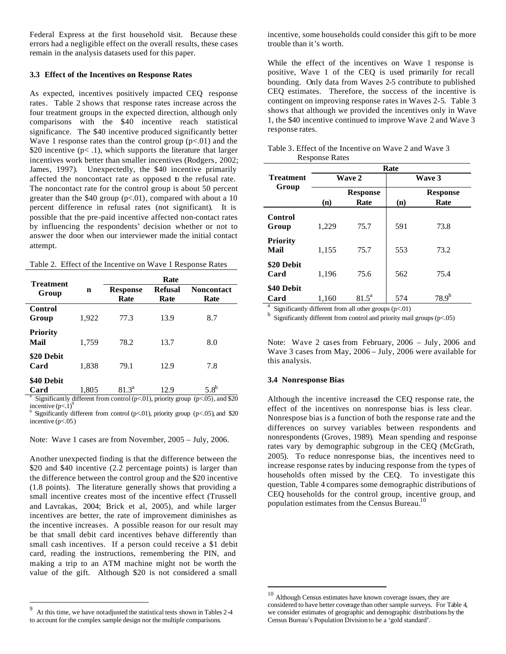Federal Express at the first household visit. Because these errors had a negligible effect on the overall results, these cases remain in the analysis datasets used for this paper.

### **3.3 Effect of the Incentives on Response Rates**

As expected, incentives positively impacted CEQ response rates. Table 2 shows that response rates increase across the four treatment groups in the expected direction, although only comparisons with the \$40 incentive reach statistical significance. The \$40 incentive produced significantly better Wave 1 response rates than the control group  $(p<.01)$  and the \$20 incentive ( $p$ < .1), which supports the literature that larger incentives work better than smaller incentives (Rodgers, 2002; James, 1997). Unexpectedly, the \$40 incentive primarily affected the noncontact rate as opposed to the refusal rate. The noncontact rate for the control group is about 50 percent greater than the \$40 group  $(p<.01)$ , compared with about a 10 percent difference in refusal rates (not significant). It is possible that the pre-paid incentive affected non-contact rates by influencing the respondents' decision whether or not to answer the door when our interviewer made the initial contact attempt.

| <b>Treatment</b>        |       | <b>Rate</b>             |                        |                             |  |  |  |
|-------------------------|-------|-------------------------|------------------------|-----------------------------|--|--|--|
| Group                   | n     | <b>Response</b><br>Rate | <b>Refusal</b><br>Rate | <b>Noncontact</b><br>Rate   |  |  |  |
| Control<br>Group        | 1,922 | 77.3                    | 13.9                   | 8.7                         |  |  |  |
| <b>Priority</b><br>Mail | 1,759 | 78.2                    | 13.7                   | 8.0                         |  |  |  |
| \$20 Debit<br>Card      | 1,838 | 79.1                    | 12.9                   | 7.8                         |  |  |  |
| \$40 Debit<br>Card      | 1,805 | $81.3^a$                | 12.9                   | 5.8 <sup>b</sup><br>- - - - |  |  |  |

<sup>a</sup> Significantly different from control (p<.01), priority group (p<.05), and \$20 incentive  $(p<1)^\circ$ 

b Significantly different from control (p<.01), priority group (p<.05), and \$20 incentive  $(p<.05)$ 

Note: Wave 1 cases are from November, 2005 – July, 2006.

Another unexpected finding is that the difference between the \$20 and \$40 incentive (2.2 percentage points) is larger than the difference between the control group and the \$20 incentive (1.8 points). The literature generally shows that providing a small incentive creates most of the incentive effect (Trussell and Lavrakas, 2004; Brick et al, 2005), and while larger incentives are better, the rate of improvement diminishes as the incentive increases. A possible reason for our result may be that small debit card incentives behave differently than small cash incentives. If a person could receive a \$1 debit card, reading the instructions, remembering the PIN, and making a trip to an ATM machine might not be worth the value of the gift. Although \$20 is not considered a small

incentive, some households could consider this gift to be more trouble than it's worth.

While the effect of the incentives on Wave 1 response is positive, Wave 1 of the CEQ is used primarily for recall bounding. Only data from Waves 2-5 contribute to published CEQ estimates. Therefore, the success of the incentive is contingent on improving response rates in Waves 2-5. Table 3 shows that although we provided the incentives only in Wave 1, the \$40 incentive continued to improve Wave 2 and Wave 3 response rates.

|                  | Table 3. Effect of the Incentive on Wave 2 and Wave 3<br><b>Response Rates</b> |               |
|------------------|--------------------------------------------------------------------------------|---------------|
|                  |                                                                                | Rate          |
| <b>Treatment</b> | <b>Wave 2</b>                                                                  | <b>Wave 3</b> |

|                                  | Kate            |          |        |                 |  |  |
|----------------------------------|-----------------|----------|--------|-----------------|--|--|
| Treatment                        | <b>Wave 2</b>   |          | Wave 3 |                 |  |  |
| Group                            | <b>Response</b> |          |        | <b>Response</b> |  |  |
|                                  | (n)             | Rate     | (n)    | Rate            |  |  |
| Control<br>Group                 | 1,229           | 75.7     | 591    | 73.8            |  |  |
| <b>Priority</b><br>Mail          | 1,155           | 75.7     | 553    | 73.2            |  |  |
| \$20 Debit<br>Card               | 1,196           | 75.6     | 562    | 75.4            |  |  |
| \$40 Debit<br>Card<br>$^{\circ}$ | 1,160           | $81.5^a$ | 574    | $78.9^{b}$      |  |  |

<sup>a</sup> Significantly different from all other groups  $(p<.01)$ 

b Significantly different from control and priority mail groups (p<.05)

Note: Wave 2 cases from February, 2006 – July, 2006 and Wave 3 cases from May, 2006 – July, 2006 were available for this analysis.

### **3.4 Nonresponse Bias**

 $\overline{a}$ 

Although the incentive increased the CEQ response rate, the effect of the incentives on nonresponse bias is less clear. Nonrespose bias is a function of both the response rate and the differences on survey variables between respondents and nonrespondents (Groves, 1989). Mean spending and response rates vary by demographic subgroup in the CEQ (McGrath, 2005). To reduce nonresponse bias, the incentives need to increase response rates by inducing response from the types of households often missed by the CEQ. To investigate this question, Table 4 compares some demographic distributions of CEQ households for the control group, incentive group, and population estimates from the Census Bureau.<sup>10</sup>

<sup>-&</sup>lt;br>9 At this time, we have not adjusted the statistical tests shown in Tables 2-4 to account for the complex sample design nor the multiple comparisons.

<sup>10</sup> Although Census estimates have known coverage issues, they are considered to have better coverage than other sample surveys. For Table 4, we consider estimates of geographic and demographic distributions by the Census Bureau's Population Division to be a 'gold standard'.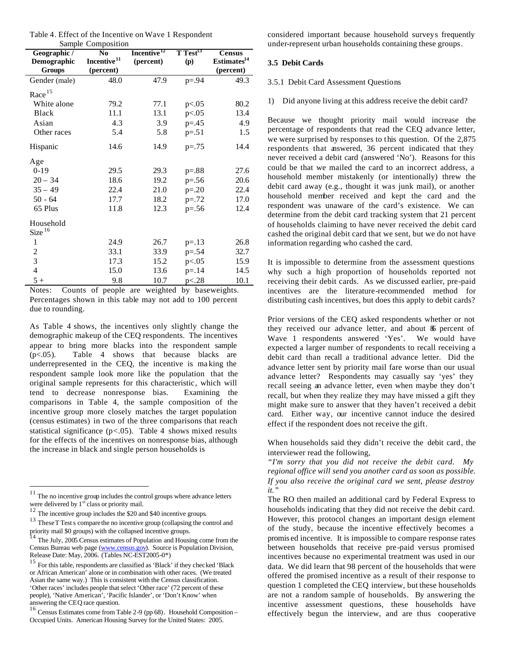| Table 4. Effect of the Incentive on Wave 1 Respondent |  |  |  |
|-------------------------------------------------------|--|--|--|
| Sample Composition                                    |  |  |  |

| Geographic /<br>N <sub>0</sub> |                         | $\sim$ $\sim$ $\sim$ $\sim$ $\sim$ $\sim$ $\sim$ $\sim$<br>Incentive <sup>12</sup> | $T$ Test <sup>13</sup> | <b>Census</b>           |
|--------------------------------|-------------------------|------------------------------------------------------------------------------------|------------------------|-------------------------|
| Demographic                    | Incentive <sup>11</sup> | (percent)                                                                          | (p)                    | Estimates <sup>14</sup> |
| Groups                         | (percent)               |                                                                                    |                        | (percent)               |
| Gender (male)                  | 48.0                    | 47.9                                                                               | $p = .94$              | 49.3                    |
| Race <sup>15</sup>             |                         |                                                                                    |                        |                         |
| White alone                    | 79.2                    | 77.1                                                                               | p<.05                  | 80.2                    |
| <b>Black</b>                   | 11.1                    | 13.1                                                                               | p<.05                  | 13.4                    |
| Asian                          | 4.3                     | 3.9                                                                                | $p = 0.45$             | 4.9                     |
| Other races                    | 5.4                     | 5.8                                                                                | $p = .51$              | 1.5                     |
| Hispanic                       | 14.6                    | 14.9                                                                               | $p=.75$                | 14.4                    |
| Age                            |                         |                                                                                    |                        |                         |
| $0-19$                         | 29.5                    | 29.3                                                                               | $p=.88$                | 27.6                    |
| $20 - 34$                      | 18.6                    | 19.2                                                                               | $p=.56$                | 20.6                    |
| $35 - 49$                      | 22.4                    | 21.0                                                                               | $p = 0.20$             | 22.4                    |
| $50 - 64$                      | 17.7                    | 18.2                                                                               | $p = .72$              | 17.0                    |
| 65 Plus                        | 11.8                    | 12.3                                                                               | $p=.56$                | 12.4                    |
| Household                      |                         |                                                                                    |                        |                         |
| Size <sup>16</sup>             |                         |                                                                                    |                        |                         |
| $\mathbf{1}$                   | 24.9                    | 26.7                                                                               | $p = .13$              | 26.8                    |
|                                | 33.1                    | 33.9                                                                               | $p = .54$              | 32.7                    |
| $\frac{2}{3}$                  | 17.3                    | 15.2                                                                               | p<.05                  | 15.9                    |
| $\overline{4}$                 | 15.0                    | 13.6                                                                               | $p = 14$               | 14.5                    |
| $5+$                           | 9.8                     | 10.7                                                                               | p<.28                  | 10.1                    |

Notes: Counts of people are weighted by baseweights. Percentages shown in this table may not add to 100 percent due to rounding.

As Table 4 shows, the incentives only slightly change the demographic makeup of the CEQ respondents. The incentives appear to bring more blacks into the respondent sample (p<.05). Table 4 shows that because blacks are underrepresented in the CEQ, the incentive is ma king the respondent sample look more like the population that the original sample represents for this characteristic, which will tend to decrease nonresponse bias. Examining the comparisons in Table 4, the sample composition of the incentive group more closely matches the target population (census estimates) in two of the three comparisons that reach statistical significance  $(p<0.05)$ . Table 4 shows mixed results for the effects of the incentives on nonresponse bias, although the increase in black and single person households is

 $\overline{a}$ 

considered important because household surveys frequently under-represent urban households containing these groups.

## **3.5 Debit Cards**

### 3.5.1 Debit Card Assessment Questions

1) Did anyone living at this address receive the debit card?

Because we thought priority mail would increase the percentage of respondents that read the CEQ advance letter, we were surprised by responses to this question. Of the 2,875 respondents that answered, 36 percent indicated that they never received a debit card (answered 'No'). Reasons for this could be that we mailed the card to an incorrect address, a household member mistakenly (or intentionally) threw the debit card away (e.g., thought it was junk mail), or another household member received and kept the card and the respondent was unaware of the card's existence. We can determine from the debit card tracking system that 21 percent of households claiming to have never received the debit card cashed the original debit card that we sent, but we do not have information regarding who cashed the card.

It is impossible to determine from the assessment questions why such a high proportion of households reported not receiving their debit cards. As we discussed earlier, pre-paid incentives are the literature-recommended method for distributing cash incentives, but does this apply to debit cards?

Prior versions of the CEQ asked respondents whether or not they received our advance letter, and about  $\delta$  percent of Wave 1 respondents answered 'Yes'. We would have expected a larger number of respondents to recall receiving a debit card than recall a traditional advance letter. Did the advance letter sent by priority mail fare worse than our usual advance letter? Respondents may casually say 'yes' they recall seeing an advance letter, even when maybe they don't recall, but when they realize they may have missed a gift they might make sure to answer that they haven't received a debit card. Either way, our incentive cannot induce the desired effect if the respondent does not receive the gift.

When households said they didn't receive the debit card, the interviewer read the following,

*"I'm sorry that you did not receive the debit card. My regional office will send you another card as soon as possible. If you also receive the original card we sent, please destroy it."*

The RO then mailed an additional card by Federal Express to households indicating that they did not receive the debit card. However, this protocol changes an important design element of the study, because the incentive effectively becomes a promis ed incentive. It is impossible to compare response rates between households that receive pre-paid versus promised incentives because no experimental treatment was used in our data. We did learn that 98 percent of the households that were offered the promised incentive as a result of their response to question 1 completed the CEQ interview, but these households are not a random sample of households. By answering the incentive assessment questions, these households have effectively begun the interview, and are thus cooperative

 $11$  The no incentive group includes the control groups where advance letters were delivered by  $1<sup>st</sup>$  class or priority mail.

<sup>&</sup>lt;sup>12</sup> The incentive group includes the \$20 and \$40 incentive groups.

<sup>&</sup>lt;sup>13</sup> These T Test s compare the no incentive group (collapsing the control and

priority mail \$0 groups) with the collapsed incentive groups.<br><sup>14</sup> The July, 2005 Census estimates of Population and Housing come from the Census Bureau web page (www.census.gov). Source is Population Division, Release Date: May, 2006. (Tables NC-EST2005-0\*)

 $^{15}$  For this table, respondents are classified as 'Black' if they checked 'Black or African American' alone or in combination with other races. (We treated Asian the same way.) This is consistent with the Census classification. 'Other races' includes people that select 'Other race' (72 percent of these people), 'Native American', 'Pacific Islander', or 'Don't Know' when answering the CEQ race question.

 $16$  Census Estimates come from Table 2-9 (pp 68). Household Composition – Occupied Units. American Housing Survey for the United States: 2005.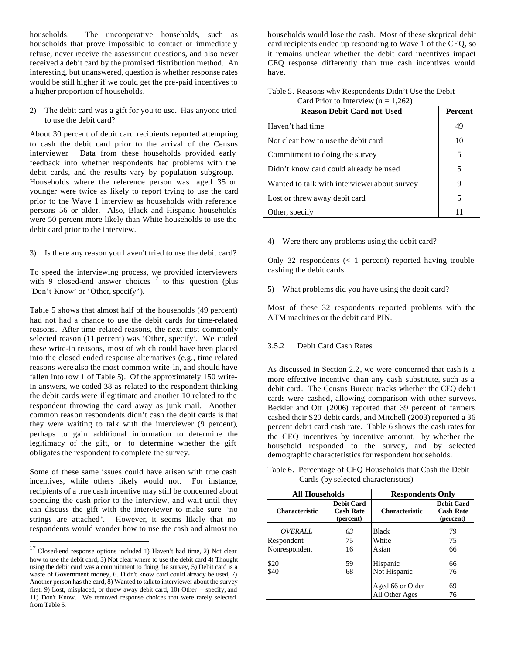households. The uncooperative households, such as households that prove impossible to contact or immediately refuse, never receive the assessment questions, and also never received a debit card by the promised distribution method. An interesting, but unanswered, question is whether response rates would be still higher if we could get the pre-paid incentives to a higher proportion of households.

2) The debit card was a gift for you to use. Has anyone tried to use the debit card?

About 30 percent of debit card recipients reported attempting to cash the debit card prior to the arrival of the Census interviewer. Data from these households provided early feedback into whether respondents had problems with the debit cards, and the results vary by population subgroup. Households where the reference person was aged 35 or younger were twice as likely to report trying to use the card prior to the Wave 1 interview as households with reference persons 56 or older. Also, Black and Hispanic households were 50 percent more likely than White households to use the debit card prior to the interview.

3) Is there any reason you haven't tried to use the debit card?

To speed the interviewing process, we provided interviewers with 9 closed-end answer choices  $17$  to this question (plus 'Don't Know' or 'Other, specify').

Table 5 shows that almost half of the households (49 percent) had not had a chance to use the debit cards for time-related reasons. After time -related reasons, the next most commonly selected reason (11 percent) was 'Other, specify'. We coded these write-in reasons, most of which could have been placed into the closed ended response alternatives (e.g., time related reasons were also the most common write-in, and should have fallen into row 1 of Table 5). Of the approximately 150 writein answers, we coded 38 as related to the respondent thinking the debit cards were illegitimate and another 10 related to the respondent throwing the card away as junk mail. Another common reason respondents didn't cash the debit cards is that they were waiting to talk with the interviewer (9 percent), perhaps to gain additional information to determine the legitimacy of the gift, or to determine whether the gift obligates the respondent to complete the survey.

Some of these same issues could have arisen with true cash incentives, while others likely would not. For instance, recipients of a true cash incentive may still be concerned about spending the cash prior to the interview, and wait until they can discuss the gift with the interviewer to make sure 'no strings are attached'. However, it seems likely that no respondents would wonder how to use the cash and almost no

 $\overline{a}$ 

households would lose the cash. Most of these skeptical debit card recipients ended up responding to Wave 1 of the CEQ, so it remains unclear whether the debit card incentives impact CEQ response differently than true cash incentives would have.

| Table 5. Reasons why Respondents Didn't Use the Debit |
|-------------------------------------------------------|
| Card Prior to Interview ( $n = 1,262$ )               |

| <b>Reason Debit Card not Used</b>            | Percent |
|----------------------------------------------|---------|
| Haven't had time                             | 49      |
| Not clear how to use the debit card          | 10      |
| Commitment to doing the survey               | 5       |
| Didn't know card could already be used       | 5       |
| Wanted to talk with interviewer about survey | 9       |
| Lost or threw away debit card                | 5       |
| Other, specify                               | 11      |

4) Were there any problems using the debit card?

Only 32 respondents  $(< 1$  percent) reported having trouble cashing the debit cards.

5) What problems did you have using the debit card?

Most of these 32 respondents reported problems with the ATM machines or the debit card PIN.

# 3.5.2 Debit Card Cash Rates

As discussed in Section 2.2, we were concerned that cash is a more effective incentive than any cash substitute, such as a debit card. The Census Bureau tracks whether the CEQ debit cards were cashed, allowing comparison with other surveys. Beckler and Ott (2006) reported that 39 percent of farmers cashed their \$20 debit cards, and Mitchell (2003) reported a 36 percent debit card cash rate. Table 6 shows the cash rates for the CEQ incentives by incentive amount, by whether the household responded to the survey, and by selected demographic characteristics for respondent households.

Table 6. Percentage of CEQ Households that Cash the Debit Cards (by selected characteristics)

| <b>All Households</b> |                                                    | <b>Respondents Only</b> |                                                    |  |
|-----------------------|----------------------------------------------------|-------------------------|----------------------------------------------------|--|
| <b>Characteristic</b> | <b>Debit Card</b><br><b>Cash Rate</b><br>(percent) | <b>Characteristic</b>   | <b>Debit Card</b><br><b>Cash Rate</b><br>(percent) |  |
| OVERALL               | 63                                                 | Black                   | 79                                                 |  |
| Respondent            | 75                                                 | White                   | 75                                                 |  |
| Nonrespondent         | 16                                                 | Asian                   | 66                                                 |  |
| \$20                  | 59                                                 | Hispanic                | 66                                                 |  |
| \$40                  | 68                                                 | Not Hispanic            | 76                                                 |  |
|                       |                                                    | Aged 66 or Older        | 69                                                 |  |
|                       |                                                    | All Other Ages          | 76                                                 |  |

 $17$  Closed-end response options included 1) Haven't had time, 2) Not clear how to use the debit card, 3) Not clear where to use the debit card 4) Thought using the debit card was a commitment to doing the survey, 5) Debit card is a waste of Government money, 6. Didn't know card could already be used, 7) Another person has the card, 8) Wanted to talk to interviewer about the survey first, 9) Lost, misplaced, or threw away debit card, 10) Other – specify, and 11) Don't Know. We removed response choices that were rarely selected from Table 5.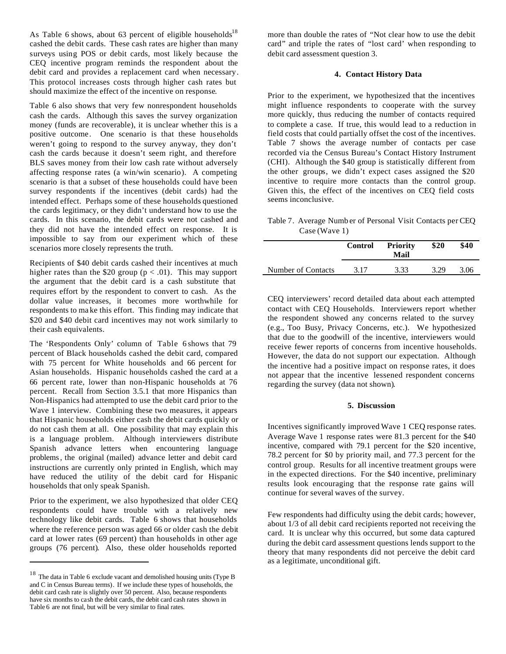As Table 6 shows, about 63 percent of eligible households<sup>18</sup> cashed the debit cards. These cash rates are higher than many surveys using POS or debit cards, most likely because the CEQ incentive program reminds the respondent about the debit card and provides a replacement card when necessary. This protocol increases costs through higher cash rates but should maximize the effect of the incentive on response.

Table 6 also shows that very few nonrespondent households cash the cards. Although this saves the survey organization money (funds are recoverable), it is unclear whether this is a positive outcome. One scenario is that these households weren't going to respond to the survey anyway, they don't cash the cards because it doesn't seem right, and therefore BLS saves money from their low cash rate without adversely affecting response rates (a win/win scenario). A competing scenario is that a subset of these households could have been survey respondents if the incentives (debit cards) had the intended effect. Perhaps some of these households questioned the cards legitimacy, or they didn't understand how to use the cards. In this scenario, the debit cards were not cashed and they did not have the intended effect on response. It is impossible to say from our experiment which of these scenarios more closely represents the truth.

Recipients of \$40 debit cards cashed their incentives at much higher rates than the \$20 group ( $p < .01$ ). This may support the argument that the debit card is a cash substitute that requires effort by the respondent to convert to cash. As the dollar value increases, it becomes more worthwhile for respondents to ma ke this effort. This finding may indicate that \$20 and \$40 debit card incentives may not work similarly to their cash equivalents.

The 'Respondents Only' column of Table 6 shows that 79 percent of Black households cashed the debit card, compared with 75 percent for White households and 66 percent for Asian households. Hispanic households cashed the card at a 66 percent rate, lower than non-Hispanic households at 76 percent. Recall from Section 3.5.1 that more Hispanics than Non-Hispanics had attempted to use the debit card prior to the Wave 1 interview. Combining these two measures, it appears that Hispanic households either cash the debit cards quickly or do not cash them at all. One possibility that may explain this is a language problem. Although interviewers distribute Spanish advance letters when encountering language problems, the original (mailed) advance letter and debit card instructions are currently only printed in English, which may have reduced the utility of the debit card for Hispanic households that only speak Spanish.

Prior to the experiment, we also hypothesized that older CEQ respondents could have trouble with a relatively new technology like debit cards. Table 6 shows that households where the reference person was aged 66 or older cash the debit card at lower rates (69 percent) than households in other age groups (76 percent). Also, these older households reported

 $\overline{a}$ 

more than double the rates of "Not clear how to use the debit card" and triple the rates of "lost card' when responding to debit card assessment question 3.

## **4. Contact History Data**

Prior to the experiment, we hypothesized that the incentives might influence respondents to cooperate with the survey more quickly, thus reducing the number of contacts required to complete a case. If true, this would lead to a reduction in field costs that could partially offset the cost of the incentives. Table 7 shows the average number of contacts per case recorded via the Census Bureau's Contact History Instrument (CHI). Although the \$40 group is statistically different from the other groups, we didn't expect cases assigned the \$20 incentive to require more contacts than the control group. Given this, the effect of the incentives on CEQ field costs seems inconclusive.

Table 7. Average Numb er of Personal Visit Contacts per CEQ Case (Wave 1)

|                    | <b>Control</b> | <b>Priority</b><br>Mail | \$20 | \$40 |
|--------------------|----------------|-------------------------|------|------|
| Number of Contacts | 3.17           | 3.33                    | 3.29 | 3.06 |

CEQ interviewers' record detailed data about each attempted contact with CEQ Households. Interviewers report whether the respondent showed any concerns related to the survey (e.g., Too Busy, Privacy Concerns, etc.). We hypothesized that due to the goodwill of the incentive, interviewers would receive fewer reports of concerns from incentive households. However, the data do not support our expectation. Although the incentive had a positive impact on response rates, it does not appear that the incentive lessened respondent concerns regarding the survey (data not shown).

### **5. Discussion**

Incentives significantly improved Wave 1 CEQ response rates. Average Wave 1 response rates were 81.3 percent for the \$40 incentive, compared with 79.1 percent for the \$20 incentive, 78.2 percent for \$0 by priority mail, and 77.3 percent for the control group. Results for all incentive treatment groups were in the expected directions. For the \$40 incentive, preliminary results look encouraging that the response rate gains will continue for several waves of the survey.

Few respondents had difficulty using the debit cards; however, about 1/3 of all debit card recipients reported not receiving the card. It is unclear why this occurred, but some data captured during the debit card assessment questions lends support to the theory that many respondents did not perceive the debit card as a legitimate, unconditional gift.

<sup>&</sup>lt;sup>18</sup> The data in Table 6 exclude vacant and demolished housing units (Type B and C in Census Bureau terms). If we include these types of households, the debit card cash rate is slightly over 50 percent. Also, because respondents have six months to cash the debit cards, the debit card cash rates shown in Table 6 are not final, but will be very similar to final rates.